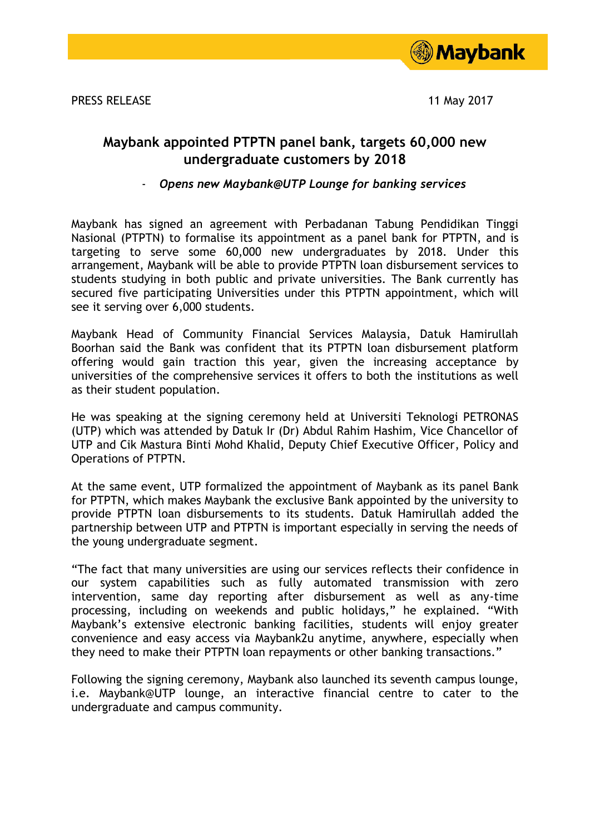

## **Maybank appointed PTPTN panel bank, targets 60,000 new undergraduate customers by 2018**

- *Opens new Maybank@UTP Lounge for banking services*

Maybank has signed an agreement with Perbadanan Tabung Pendidikan Tinggi Nasional (PTPTN) to formalise its appointment as a panel bank for PTPTN, and is targeting to serve some 60,000 new undergraduates by 2018. Under this arrangement, Maybank will be able to provide PTPTN loan disbursement services to students studying in both public and private universities. The Bank currently has secured five participating Universities under this PTPTN appointment, which will see it serving over 6,000 students.

Maybank Head of Community Financial Services Malaysia, Datuk Hamirullah Boorhan said the Bank was confident that its PTPTN loan disbursement platform offering would gain traction this year, given the increasing acceptance by universities of the comprehensive services it offers to both the institutions as well as their student population.

He was speaking at the signing ceremony held at Universiti Teknologi PETRONAS (UTP) which was attended by Datuk Ir (Dr) Abdul Rahim Hashim, Vice Chancellor of UTP and Cik Mastura Binti Mohd Khalid, Deputy Chief Executive Officer, Policy and Operations of PTPTN.

At the same event, UTP formalized the appointment of Maybank as its panel Bank for PTPTN, which makes Maybank the exclusive Bank appointed by the university to provide PTPTN loan disbursements to its students. Datuk Hamirullah added the partnership between UTP and PTPTN is important especially in serving the needs of the young undergraduate segment.

"The fact that many universities are using our services reflects their confidence in our system capabilities such as fully automated transmission with zero intervention, same day reporting after disbursement as well as any-time processing, including on weekends and public holidays," he explained. "With Maybank's extensive electronic banking facilities, students will enjoy greater convenience and easy access via Maybank2u anytime, anywhere, especially when they need to make their PTPTN loan repayments or other banking transactions."

Following the signing ceremony, Maybank also launched its seventh campus lounge, i.e. Maybank@UTP lounge, an interactive financial centre to cater to the undergraduate and campus community.